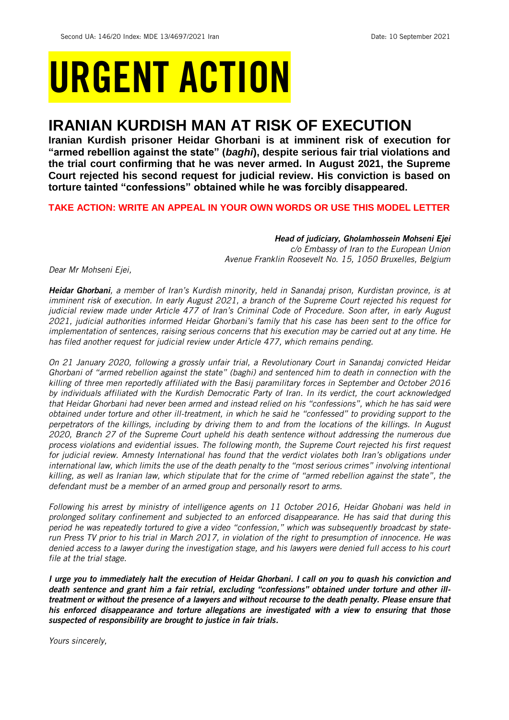# URGENT ACTION

## **IRANIAN KURDISH MAN AT RISK OF EXECUTION**

**Iranian Kurdish prisoner Heidar Ghorbani is at imminent risk of execution for "armed rebellion against the state" (***baghi***), despite serious fair trial violations and the trial court confirming that he was never armed. In August 2021, the Supreme Court rejected his second request for judicial review. His conviction is based on torture tainted "confessions" obtained while he was forcibly disappeared.** 

### **TAKE ACTION: WRITE AN APPEAL IN YOUR OWN WORDS OR USE THIS MODEL LETTER**

*Head of judiciary, Gholamhossein Mohseni Ejei c/o Embassy of Iran to the European Union Avenue Franklin Roosevelt No. 15, 1050 Bruxelles, Belgium*

*Dear Mr Mohseni Ejei,*

*Heidar Ghorbani, a member of Iran's Kurdish minority, held in Sanandaj prison, Kurdistan province, is at imminent risk of execution. In early August 2021, a branch of the Supreme Court rejected his request for judicial review made under Article 477 of Iran's Criminal Code of Procedure. Soon after, in early August 2021, judicial authorities informed Heidar Ghorbani's family that his case has been sent to the office for implementation of sentences, raising serious concerns that his execution may be carried out at any time. He has filed another request for judicial review under Article 477, which remains pending.*

*On 21 January 2020, following a grossly unfair trial, a Revolutionary Court in Sanandaj convicted Heidar Ghorbani of "armed rebellion against the state" (baghi) and sentenced him to death in connection with the killing of three men reportedly affiliated with the Basij paramilitary forces in September and October 2016 by individuals affiliated with the Kurdish Democratic Party of Iran. In its verdict, the court acknowledged that Heidar Ghorbani had never been armed and instead relied on his "confessions", which he has said were obtained under torture and other ill-treatment, in which he said he "confessed" to providing support to the perpetrators of the killings, including by driving them to and from the locations of the killings. In August 2020, Branch 27 of the Supreme Court upheld his death sentence without addressing the numerous due process violations and evidential issues. The following month, the Supreme Court rejected his first request for judicial review. Amnesty International has found that the verdict violates both Iran's obligations under*  international law, which limits the use of the death penalty to the "most serious crimes" involving intentional *killing, as well as Iranian law, which stipulate that for the crime of "armed rebellion against the state", the defendant must be a member of an armed group and personally resort to arms.*

*Following his arrest by ministry of intelligence agents on 11 October 2016, Heidar Ghobani was held in prolonged solitary confinement and subjected to an enforced disappearance. He has said that during this period he was repeatedly tortured to give a video "confession," which was subsequently broadcast by staterun Press TV prior to his trial in March 2017, in violation of the right to presumption of innocence. He was denied access to a lawyer during the investigation stage, and his lawyers were denied full access to his court file at the trial stage.*

*I urge you to immediately halt the execution of Heidar Ghorbani. I call on you to quash his conviction and death sentence and grant him a fair retrial, excluding "confessions" obtained under torture and other illtreatment or without the presence of a lawyers and without recourse to the death penalty. Please ensure that his enforced disappearance and torture allegations are investigated with a view to ensuring that those suspected of responsibility are brought to justice in fair trials.* 

*Yours sincerely,*